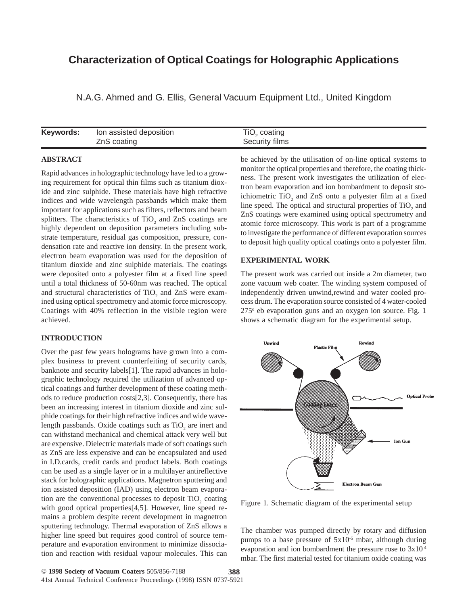# **Characterization of Optical Coatings for Holographic Applications**

N.A.G. Ahmed and G. Ellis, General Vacuum Equipment Ltd., United Kingdom

| Keywords: | Ion assisted deposition | TiO, coating   |
|-----------|-------------------------|----------------|
|           | ZnS coating             | Security films |

### **ABSTRACT**

Rapid advances in holographic technology have led to a growing requirement for optical thin films such as titanium dioxide and zinc sulphide. These materials have high refractive indices and wide wavelength passbands which make them important for applications such as filters, reflectors and beam splitters. The characteristics of  $TiO<sub>2</sub>$  and ZnS coatings are highly dependent on deposition parameters including substrate temperature, residual gas composition, pressure, condensation rate and reactive ion density. In the present work, electron beam evaporation was used for the deposition of titanium dioxide and zinc sulphide materials. The coatings were deposited onto a polyester film at a fixed line speed until a total thickness of 50-60nm was reached. The optical and structural characteristics of  $TiO<sub>2</sub>$  and  $ZnS$  were examined using optical spectrometry and atomic force microscopy. Coatings with 40% reflection in the visible region were achieved.

### **INTRODUCTION**

Over the past few years holograms have grown into a complex business to prevent counterfeiting of security cards, banknote and security labels[1]. The rapid advances in holographic technology required the utilization of advanced optical coatings and further development of these coating methods to reduce production costs[2,3]. Consequently, there has been an increasing interest in titanium dioxide and zinc sulphide coatings for their high refractive indices and wide wavelength passbands. Oxide coatings such as  $TiO_2$  are inert and can withstand mechanical and chemical attack very well but are expensive. Dielectric materials made of soft coatings such as ZnS are less expensive and can be encapsulated and used in I.D.cards, credit cards and product labels. Both coatings can be used as a single layer or in a multilayer antireflective stack for holographic applications. Magnetron sputtering and ion assisted deposition (IAD) using electron beam evaporation are the conventional processes to deposit  $TiO<sub>2</sub>$  coating with good optical properties[4,5]. However, line speed remains a problem despite recent development in magnetron sputtering technology. Thermal evaporation of ZnS allows a higher line speed but requires good control of source temperature and evaporation environment to minimize dissociation and reaction with residual vapour molecules. This can be achieved by the utilisation of on-line optical systems to monitor the optical properties and therefore, the coating thickness. The present work investigates the utilization of electron beam evaporation and ion bombardment to deposit stoichiometric  $TiO_2$  and  $ZnS$  onto a polyester film at a fixed line speed. The optical and structural properties of  $TiO<sub>2</sub>$  and ZnS coatings were examined using optical spectrometry and atomic force microscopy. This work is part of a programme to investigate the performance of different evaporation sources to deposit high quality optical coatings onto a polyester film.

# **EXPERIMENTAL WORK**

The present work was carried out inside a 2m diameter, two zone vacuum web coater. The winding system composed of independently driven unwind,rewind and water cooled process drum. The evaporation source consisted of 4 water-cooled 275° eb evaporation guns and an oxygen ion source. Fig. 1 shows a schematic diagram for the experimental setup.



Figure 1. Schematic diagram of the experimental setup

The chamber was pumped directly by rotary and diffusion pumps to a base pressure of  $5x10^{-5}$  mbar, although during evaporation and ion bombardment the pressure rose to 3x10-4 mbar. The first material tested for titanium oxide coating was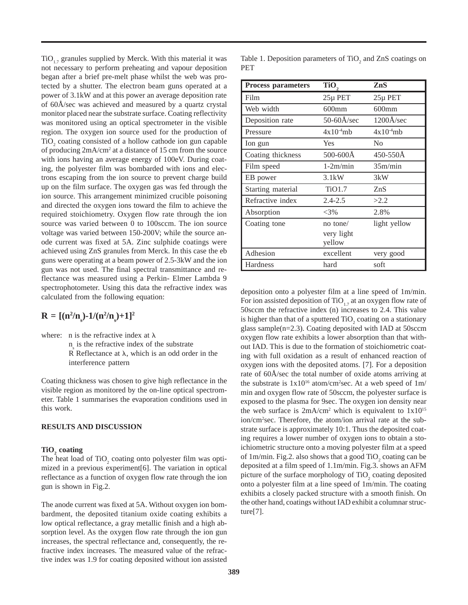$TiO<sub>1.7</sub>$  granules supplied by Merck. With this material it was not necessary to perform preheating and vapour deposition began after a brief pre-melt phase whilst the web was protected by a shutter. The electron beam guns operated at a power of 3.1kW and at this power an average deposition rate of 60Å/sec was achieved and measured by a quartz crystal monitor placed near the substrate surface. Coating reflectivity was monitored using an optical spectrometer in the visible region. The oxygen ion source used for the production of TiO<sub>2</sub> coating consisted of a hollow cathode ion gun capable of producing  $2mA/cm^2$  at a distance of 15 cm from the source with ions having an average energy of 100eV. During coating, the polyester film was bombarded with ions and electrons escaping from the ion source to prevent charge build up on the film surface. The oxygen gas was fed through the ion source. This arrangement minimized crucible poisoning and directed the oxygen ions toward the film to achieve the required stoichiometry. Oxygen flow rate through the ion source was varied between 0 to 100sccm. The ion source voltage was varied between 150-200V; while the source anode current was fixed at 5A. Zinc sulphide coatings were achieved using ZnS granules from Merck. In this case the eb guns were operating at a beam power of 2.5-3kW and the ion gun was not used. The final spectral transmittance and reflectance was measured using a Perkin- Elmer Lambda 9 spectrophotometer. Using this data the refractive index was calculated from the following equation:

# $R = [(n^2/n_s) - 1/(n^2/n_s) + 1]^2$

where: n is the refractive index at  $\lambda$ 

 $n<sub>s</sub>$  is the refractive index of the substrate

R Reflectance at  $\lambda$ , which is an odd order in the interference pattern

Coating thickness was chosen to give high reflectance in the visible region as monitored by the on-line optical spectrometer. Table 1 summarises the evaporation conditions used in this work.

#### **RESULTS AND DISCUSSION**

# **TiO**<sub>2</sub> coating

The heat load of  $TiO<sub>2</sub>$  coating onto polyester film was optimized in a previous experiment[6]. The variation in optical reflectance as a function of oxygen flow rate through the ion gun is shown in Fig.2.

The anode current was fixed at 5A. Without oxygen ion bombardment, the deposited titanium oxide coating exhibits a low optical reflectance, a gray metallic finish and a high absorption level. As the oxygen flow rate through the ion gun increases, the spectral reflectance and, consequently, the refractive index increases. The measured value of the refractive index was 1.9 for coating deposited without ion assisted

Table 1. Deposition parameters of  $TiO<sub>2</sub>$  and ZnS coatings on PET

| <b>Process parameters</b> | TiO,                  | ZnS            |
|---------------------------|-----------------------|----------------|
| Film                      | 25µ PET               | 25µ PET        |
| Web width                 | $600$ mm              | $600$ mm       |
| Deposition rate           | $50-60\text{\AA/sec}$ | 1200Å/sec      |
| Pressure                  | $4x10^{4}mb$          | $4x10^{4}mb$   |
| Ion gun                   | Yes                   | N <sub>0</sub> |
| Coating thickness         | 500-600Å              | 450-550Å       |
| Film speed                | $1-2m/min$            | 35m/min        |
| EB power                  | $3.1$ kW              | 3kW            |
| Starting material         | TiO1.7                | ZnS            |
| Refractive index          | $2.4 - 2.5$           | >2.2           |
| Absorption                | $<$ 3%                | 2.8%           |
| Coating tone              | no tone/              | light yellow   |
|                           | very light            |                |
|                           | yellow                |                |
| Adhesion                  | excellent             | very good      |
| Hardness                  | hard                  | soft           |

deposition onto a polyester film at a line speed of 1m/min. For ion assisted deposition of  $TiO<sub>1.7</sub>$  at an oxygen flow rate of 50sccm the refractive index (n) increases to 2.4. This value is higher than that of a sputtered  $\text{TiO}_2$  coating on a stationary glass sample(n=2.3). Coating deposited with IAD at 50sccm oxygen flow rate exhibits a lower absorption than that without IAD. This is due to the formation of stoichiometric coating with full oxidation as a result of enhanced reaction of oxygen ions with the deposited atoms. [7]. For a deposition rate of 60Å/sec the total number of oxide atoms arriving at the substrate is  $1x10^{16}$  atom/cm<sup>2</sup>sec. At a web speed of  $1m/$ min and oxygen flow rate of 50sccm, the polyester surface is exposed to the plasma for 9sec. The oxygen ion density near the web surface is  $2mA/cm^2$  which is equivalent to  $1x10^{15}$ ion/cm2 sec. Therefore, the atom/ion arrival rate at the substrate surface is approximately 10:1. Thus the deposited coating requires a lower number of oxygen ions to obtain a stoichiometric structure onto a moving polyester film at a speed of  $1m/min$ . Fig.2. also shows that a good  $TiO<sub>2</sub>$  coating can be deposited at a film speed of 1.1m/min. Fig.3. shows an AFM picture of the surface morphology of  $TiO<sub>2</sub>$  coating deposited onto a polyester film at a line speed of 1m/min. The coating exhibits a closely packed structure with a smooth finish. On the other hand, coatings without IAD exhibit a columnar structure[7].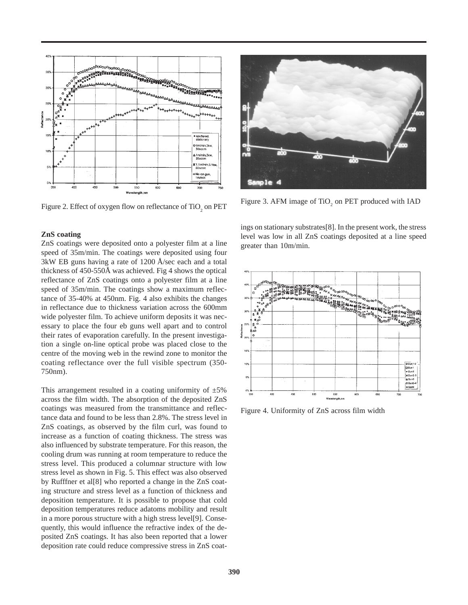

Figure 2. Effect of oxygen flow on reflectance of TiO<sub>2</sub> on PET

#### **ZnS coating**

ZnS coatings were deposited onto a polyester film at a line speed of 35m/min. The coatings were deposited using four 3kW EB guns having a rate of 1200 Å/sec each and a total thickness of 450-550Å was achieved. Fig 4 shows the optical reflectance of ZnS coatings onto a polyester film at a line speed of 35m/min. The coatings show a maximum reflectance of 35-40% at 450nm. Fig. 4 also exhibits the changes in reflectance due to thickness variation across the 600mm wide polyester film. To achieve uniform deposits it was necessary to place the four eb guns well apart and to control their rates of evaporation carefully. In the present investigation a single on-line optical probe was placed close to the centre of the moving web in the rewind zone to monitor the coating reflectance over the full visible spectrum (350- 750nm).

This arrangement resulted in a coating uniformity of  $\pm 5\%$ across the film width. The absorption of the deposited ZnS coatings was measured from the transmittance and reflectance data and found to be less than 2.8%. The stress level in ZnS coatings, as observed by the film curl, was found to increase as a function of coating thickness. The stress was also influenced by substrate temperature. For this reason, the cooling drum was running at room temperature to reduce the stress level. This produced a columnar structure with low stress level as shown in Fig. 5. This effect was also observed by Rufffner et al[8] who reported a change in the ZnS coating structure and stress level as a function of thickness and deposition temperature. It is possible to propose that cold deposition temperatures reduce adatoms mobility and result in a more porous structure with a high stress level[9]. Consequently, this would influence the refractive index of the deposited ZnS coatings. It has also been reported that a lower deposition rate could reduce compressive stress in ZnS coat-



Figure 3. AFM image of  $TiO<sub>2</sub>$  on PET produced with IAD

ings on stationary substrates[8]. In the present work, the stress level was low in all ZnS coatings deposited at a line speed greater than 10m/min.



Figure 4. Uniformity of ZnS across film width